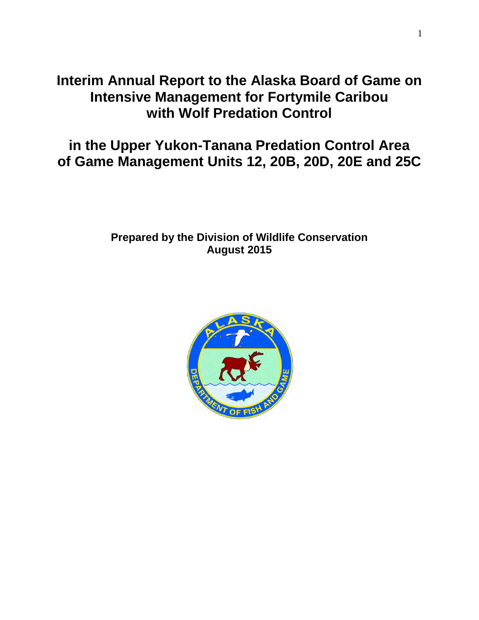# **Interim Annual Report to the Alaska Board of Game on Intensive Management for Fortymile Caribou with Wolf Predation Control**

# **in the Upper Yukon-Tanana Predation Control Area of Game Management Units 12, 20B, 20D, 20E and 25C**

# **Prepared by the Division of Wildlife Conservation August 2015**

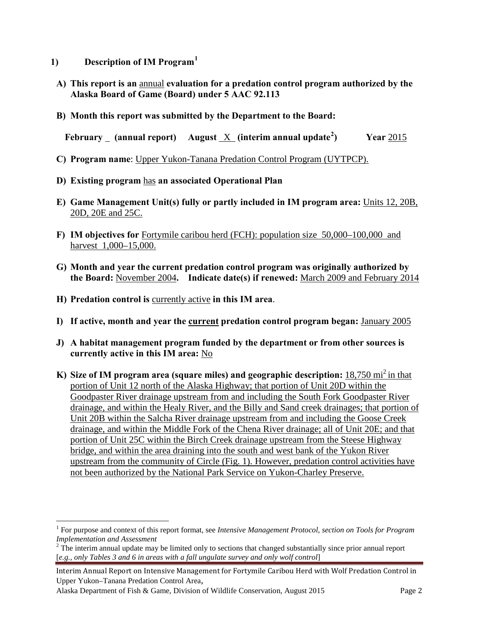- **1) Description of IM Program[1](#page-1-0)**
- **A) This report is an** annual **evaluation for a predation control program authorized by the Alaska Board of Game (Board) under 5 AAC 92.113**
- **B) Month this report was submitted by the Department to the Board:**

**February (annual report) August** X **(interim annual update[2](#page-1-1) ) Year** 2015

- **C) Program name**: Upper Yukon-Tanana Predation Control Program (UYTPCP).
- **D) Existing program** has **an associated Operational Plan**
- **E) Game Management Unit(s) fully or partly included in IM program area:** Units 12, 20B, 20D, 20E and 25C.
- **F) IM objectives for** Fortymile caribou herd (FCH): population size 50,000–100,000 and harvest 1,000–15,000.
- **G) Month and year the current predation control program was originally authorized by the Board:** November 2004**. Indicate date(s) if renewed:** March 2009 and February 2014
- **H) Predation control is** currently active **in this IM area**.
- **I) If active, month and year the current predation control program began:** January 2005
- **J) A habitat management program funded by the department or from other sources is currently active in this IM area:** No
- **K)** Size of IM program area (square miles) and geographic description: 18,750 mi<sup>2</sup> in that portion of Unit 12 north of the Alaska Highway; that portion of Unit 20D within the Goodpaster River drainage upstream from and including the South Fork Goodpaster River drainage, and within the Healy River, and the Billy and Sand creek drainages; that portion of Unit 20B within the Salcha River drainage upstream from and including the Goose Creek drainage, and within the Middle Fork of the Chena River drainage; all of Unit 20E; and that portion of Unit 25C within the Birch Creek drainage upstream from the Steese Highway bridge, and within the area draining into the south and west bank of the Yukon River upstream from the community of Circle (Fig. 1). However, predation control activities have not been authorized by the National Park Service on Yukon-Charley Preserve.

Interim Annual Report on Intensive Management for Fortymile Caribou Herd with Wolf Predation Control in Upper Yukon–Tanana Predation Control Area,

Alaska Department of Fish & Game, Division of Wildlife Conservation, August 2015 Page 2

 $\overline{a}$ 

<span id="page-1-0"></span><sup>1</sup> For purpose and context of this report format, see *Intensive Management Protocol, section on Tools for Program* 

<span id="page-1-1"></span><sup>&</sup>lt;sup>2</sup> The interim annual update may be limited only to sections that changed substantially since prior annual report [*e.g., only Tables 3 and 6 in areas with a fall ungulate survey and only wolf control*]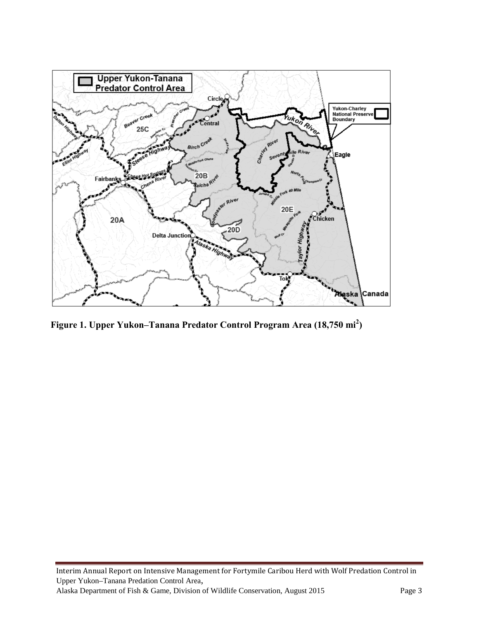

**Figure 1. Upper Yukon–Tanana Predator Control Program Area (18,750 mi<sup>2</sup> )**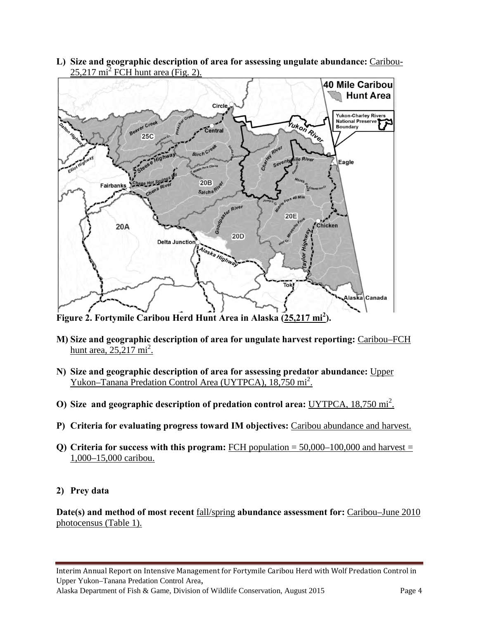**L) Size and geographic description of area for assessing ungulate abundance:** Caribou- $25,217 \text{ mi}^2$  FCH hunt area (Fig. 2).



**Figure 2. Fortymile Caribou Herd Hunt Area in Alaska (25,217 mi<sup>2</sup> ).**

- **M) Size and geographic description of area for ungulate harvest reporting:** Caribou–FCH hunt area,  $25,217 \text{ mi}^2$ .
- **N) Size and geographic description of area for assessing predator abundance:** Upper Yukon–Tanana Predation Control Area (UYTPCA), 18,750 mi<sup>2</sup>.
- **O)** Size and geographic description of predation control area: UYTPCA, 18,750 mi<sup>2</sup>.
- **P) Criteria for evaluating progress toward IM objectives:** Caribou abundance and harvest.
- **Q)** Criteria for success with this program: FCH population  $= 50,000-100,000$  and harvest  $=$ 1,000–15,000 caribou.
- **2) Prey data**

**Date(s) and method of most recent** fall/spring **abundance assessment for:** Caribou–June 2010 photocensus (Table 1).

Alaska Department of Fish & Game, Division of Wildlife Conservation, August 2015 Page 4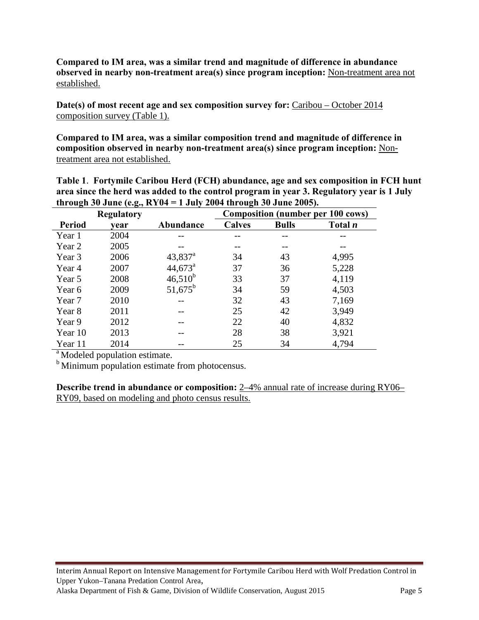**Compared to IM area, was a similar trend and magnitude of difference in abundance observed in nearby non-treatment area(s) since program inception:** Non-treatment area not established.

**Date(s) of most recent age and sex composition survey for:** Caribou – October 2014 composition survey (Table 1).

**Compared to IM area, was a similar composition trend and magnitude of difference in composition observed in nearby non-treatment area(s) since program inception:** Nontreatment area not established.

**Table 1**. **Fortymile Caribou Herd (FCH) abundance, age and sex composition in FCH hunt area since the herd was added to the control program in year 3. Regulatory year is 1 July through 30 June (e.g., RY04 = 1 July 2004 through 30 June 2005).**

| <b>Regulatory</b> |      |                  | <b>Composition (number per 100 cows)</b> |              |                |  |  |
|-------------------|------|------------------|------------------------------------------|--------------|----------------|--|--|
| <b>Period</b>     | vear | Abundance        | <b>Calves</b>                            | <b>Bulls</b> | Total <i>n</i> |  |  |
| Year 1            | 2004 |                  |                                          |              |                |  |  |
| Year 2            | 2005 |                  |                                          |              |                |  |  |
| Year 3            | 2006 | $43,837^{\rm a}$ | 34                                       | 43           | 4,995          |  |  |
| Year 4            | 2007 | $44,673^{\circ}$ | 37                                       | 36           | 5,228          |  |  |
| Year 5            | 2008 | $46,510^{b}$     | 33                                       | 37           | 4,119          |  |  |
| Year 6            | 2009 | $51,675^b$       | 34                                       | 59           | 4,503          |  |  |
| Year 7            | 2010 |                  | 32                                       | 43           | 7,169          |  |  |
| Year 8            | 2011 |                  | 25                                       | 42           | 3,949          |  |  |
| Year 9            | 2012 |                  | 22                                       | 40           | 4,832          |  |  |
| Year 10           | 2013 |                  | 28                                       | 38           | 3,921          |  |  |
| Year 11           | 2014 |                  | 25                                       | 34           | 4,794          |  |  |

 $\sqrt{a}$  Modeled population estimate.

<sup>b</sup> Minimum population estimate from photocensus.

**Describe trend in abundance or composition:**  $2-4%$  annual rate of increase during RY06– RY09, based on modeling and photo census results.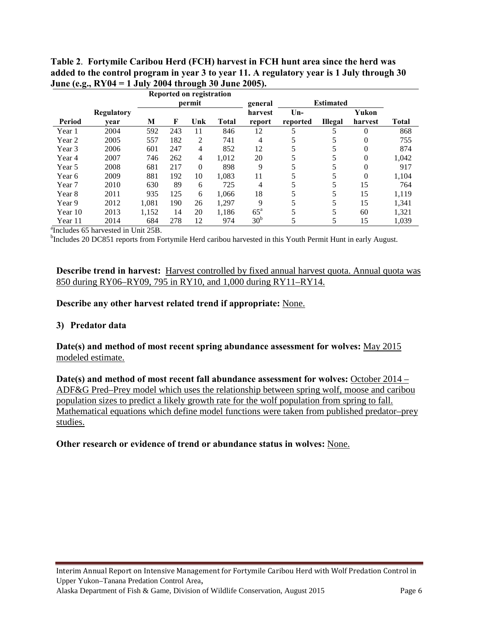|         |            | Reported on registration |        |                |              |                 |          |                  |          |       |
|---------|------------|--------------------------|--------|----------------|--------------|-----------------|----------|------------------|----------|-------|
|         |            |                          | permit |                |              |                 |          | <b>Estimated</b> |          |       |
|         | Regulatory |                          |        |                |              | harvest         | $Un-$    |                  | Yukon    |       |
| Period  | vear       | M                        | F      | Unk            | <b>Total</b> | report          | reported | <b>Illegal</b>   | harvest  | Total |
| Year 1  | 2004       | 592                      | 243    | 11             | 846          | 12              |          | 5                | $\theta$ | 868   |
| Year 2  | 2005       | 557                      | 182    | 2              | 741          | 4               |          | 5                | 0        | 755   |
| Year 3  | 2006       | 601                      | 247    | 4              | 852          | 12              |          | 5                | 0        | 874   |
| Year 4  | 2007       | 746                      | 262    | $\overline{4}$ | 1,012        | 20              |          | 5                | 0        | 1,042 |
| Year 5  | 2008       | 681                      | 217    | $\Omega$       | 898          | 9               |          | 5                | $\theta$ | 917   |
| Year 6  | 2009       | 881                      | 192    | 10             | 1,083        | 11              |          | 5                | 0        | 1,104 |
| Year 7  | 2010       | 630                      | 89     | 6              | 725          | 4               |          | 5                | 15       | 764   |
| Year 8  | 2011       | 935                      | 125    | 6              | 1,066        | 18              |          | 5                | 15       | 1,119 |
| Year 9  | 2012       | 1.081                    | 190    | 26             | 1.297        | 9               |          | 5                | 15       | 1,341 |
| Year 10 | 2013       | 1,152                    | 14     | 20             | 1,186        | $65^{\circ}$    |          | 5                | 60       | 1,321 |
| Year 11 | 2014       | 684                      | 278    | 12             | 974          | 30 <sup>b</sup> |          | 5                | 15       | 1,039 |

**Table 2**. **Fortymile Caribou Herd (FCH) harvest in FCH hunt area since the herd was added to the control program in year 3 to year 11. A regulatory year is 1 July through 30 June (e.g., RY04 = 1 July 2004 through 30 June 2005).** 

 $\frac{1}{2}$  Includes 65 harvested in Unit 25B.

<sup>b</sup>Includes 20 DC851 reports from Fortymile Herd caribou harvested in this Youth Permit Hunt in early August.

#### **Describe trend in harvest:** Harvest controlled by fixed annual harvest quota. Annual quota was 850 during RY06–RY09, 795 in RY10, and 1,000 during RY11–RY14.

#### **Describe any other harvest related trend if appropriate:** None.

## **3) Predator data**

**Date(s) and method of most recent spring abundance assessment for wolves:** May 2015 modeled estimate.

**Date(s) and method of most recent fall abundance assessment for wolves:** October 2014 – ADF&G Pred–Prey model which uses the relationship between spring wolf, moose and caribou population sizes to predict a likely growth rate for the wolf population from spring to fall. Mathematical equations which define model functions were taken from published predator–prey studies.

## **Other research or evidence of trend or abundance status in wolves:** None.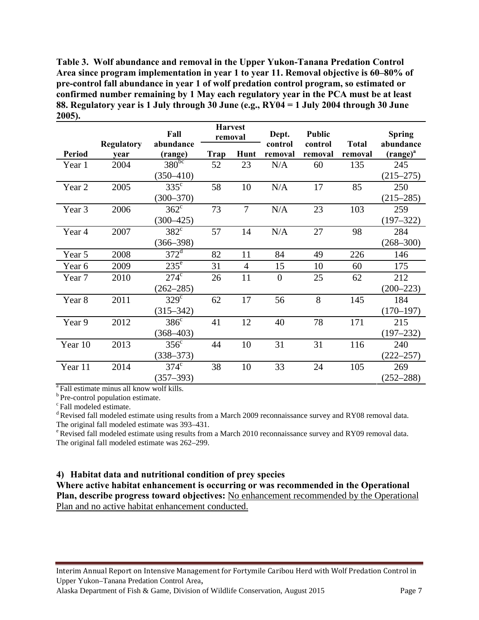**Table 3. Wolf abundance and removal in the Upper Yukon-Tanana Predation Control Area since program implementation in year 1 to year 11. Removal objective is 60–80% of pre-control fall abundance in year 1 of wolf predation control program, so estimated or confirmed number remaining by 1 May each regulatory year in the PCA must be at least 88. Regulatory year is 1 July through 30 June (e.g., RY04 = 1 July 2004 through 30 June 2005).** 

|                   |                   | Fall                  | <b>Harvest</b><br>removal |                | Dept.          | Public  |              | <b>Spring</b> |
|-------------------|-------------------|-----------------------|---------------------------|----------------|----------------|---------|--------------|---------------|
| <b>Period</b>     | <b>Regulatory</b> | abundance             |                           | Hunt           | control        | control | <b>Total</b> | abundance     |
|                   | vear              | (range)<br>$380^{bc}$ | Trap                      |                | removal        | removal | removal      | $(range)^{a}$ |
| Year 1            | 2004              |                       | 52                        | 23             | N/A            | 60      | 135          | 245           |
|                   |                   | $(350 - 410)$         |                           |                |                |         |              | $(215 - 275)$ |
| Year 2            | 2005              | $335^{\circ}$         | 58                        | 10             | N/A            | 17      | 85           | 250           |
|                   |                   | $(300 - 370)$         |                           |                |                |         |              | $(215 - 285)$ |
| Year <sub>3</sub> | 2006              | $362^{\circ}$         | 73                        | $\overline{7}$ | N/A            | 23      | 103          | 259           |
|                   |                   | $(300 - 425)$         |                           |                |                |         |              | $(197 - 322)$ |
| Year 4            | 2007              | $382^{\circ}$         | 57                        | 14             | N/A            | 27      | 98           | 284           |
|                   |                   | $(366 - 398)$         |                           |                |                |         |              | $(268 - 300)$ |
| Year 5            | 2008              | $372^{\mathrm{d}}$    | 82                        | 11             | 84             | 49      | 226          | 146           |
| Year 6            | 2009              | $235^{\circ}$         | 31                        | $\overline{4}$ | 15             | 10      | 60           | 175           |
| Year 7            | 2010              | $274^\circ$           | 26                        | 11             | $\overline{0}$ | 25      | 62           | 212           |
|                   |                   | $(262 - 285)$         |                           |                |                |         |              | $(200 - 223)$ |
| Year 8            | 2011              | $329^{\circ}$         | 62                        | 17             | 56             | 8       | 145          | 184           |
|                   |                   | $(315 - 342)$         |                           |                |                |         |              | $(170 - 197)$ |
| Year 9            | 2012              | $386^{\circ}$         | 41                        | 12             | 40             | 78      | 171          | 215           |
|                   |                   | $(368 - 403)$         |                           |                |                |         |              | $(197 - 232)$ |
| Year 10           | 2013              | $356^{\circ}$         | 44                        | 10             | 31             | 31      | 116          | 240           |
|                   |                   | $(338 - 373)$         |                           |                |                |         |              | $(222 - 257)$ |
| Year 11           | 2014              | $374^\circ$           | 38                        | 10             | 33             | 24      | 105          | 269           |
|                   |                   | $(357 - 393)$         |                           |                |                |         |              | $(252 - 288)$ |

<sup>a</sup> Fall estimate minus all know wolf kills.

 $\degree$ Pre-control population estimate.<br> $\degree$ Fall modeled estimate.

<sup>d</sup> Revised fall modeled estimate using results from a March 2009 reconnaissance survey and RY08 removal data. The original fall modeled estimate was  $393-431$ .<br><sup>e</sup> Revised fall modeled estimate using results from a March 2010 reconnaissance survey and RY09 removal data.

The original fall modeled estimate was 262–299.

## **4) Habitat data and nutritional condition of prey species**

**Where active habitat enhancement is occurring or was recommended in the Operational Plan, describe progress toward objectives:** No enhancement recommended by the Operational Plan and no active habitat enhancement conducted.

Interim Annual Report on Intensive Management for Fortymile Caribou Herd with Wolf Predation Control in Upper Yukon–Tanana Predation Control Area,

Alaska Department of Fish & Game, Division of Wildlife Conservation, August 2015 Page 7